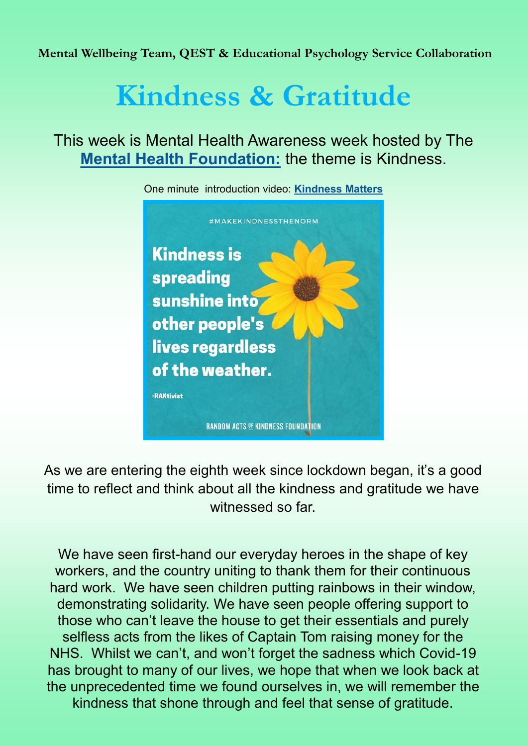**Mental Wellbeing Team, QEST & Educational Psychology Service Collaboration** 

# **Kindness & Gratitude**

This week is Mental Health Awareness week hosted by The **[Mental Health Foundation:](https://www.mentalhealth.org.uk/campaigns/mental-health-awareness-week)** the theme is Kindness.



As we are entering the eighth week since lockdown began, it's a good time to reflect and think about all the kindness and gratitude we have witnessed so far.

We have seen first-hand our everyday heroes in the shape of key workers, and the country uniting to thank them for their continuous hard work. We have seen children putting rainbows in their window, demonstrating solidarity. We have seen people offering support to those who can't leave the house to get their essentials and purely selfless acts from the likes of Captain Tom raising money for the NHS. Whilst we can't, and won't forget the sadness which Covid-19 has brought to many of our lives, we hope that when we look back at the unprecedented time we found ourselves in, we will remember the kindness that shone through and feel that sense of gratitude.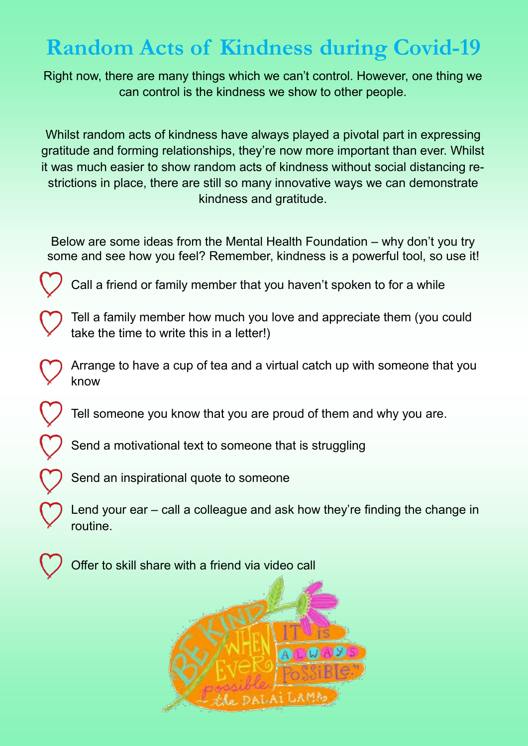## **Random Acts of Kindness during Covid-19**

Right now, there are many things which we can't control. However, one thing we can control is the kindness we show to other people.

Whilst random acts of kindness have always played a pivotal part in expressing gratitude and forming relationships, they're now more important than ever. Whilst it was much easier to show random acts of kindness without social distancing restrictions in place, there are still so many innovative ways we can demonstrate kindness and gratitude.

Below are some ideas from the Mental Health Foundation – why don't you try some and see how you feel? Remember, kindness is a powerful tool, so use it!

Call a friend or family member that you haven't spoken to for a while

Tell a family member how much you love and appreciate them (you could take the time to write this in a letter!)

Arrange to have a cup of tea and a virtual catch up with someone that you know

Tell someone you know that you are proud of them and why you are.

Send a motivational text to someone that is struggling

Send an inspirational quote to someone

Lend your ear – call a colleague and ask how they're finding the change in routine.



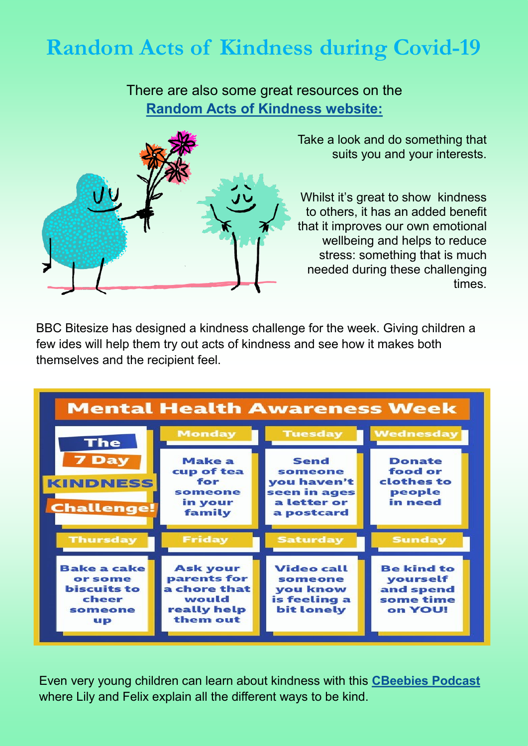### **Random Acts of Kindness during Covid-19**

There are also some great resources on the **[Random Acts of Kindness website:](https://www.randomactsofkindness.org/)**



Take a look and do something that suits you and your interests.

Whilst it's great to show kindness to others, it has an added benefit that it improves our own emotional wellbeing and helps to reduce stress: something that is much needed during these challenging times.

BBC Bitesize has designed a kindness challenge for the week. Giving children a few ides will help them try out acts of kindness and see how it makes both themselves and the recipient feel.

| <b>Mental Health Awareness Week</b>                                           |                                                                                     |                                                                                                      |                                                                                 |
|-------------------------------------------------------------------------------|-------------------------------------------------------------------------------------|------------------------------------------------------------------------------------------------------|---------------------------------------------------------------------------------|
| <b>The</b><br><b>7 Day</b><br><b>KINDNESS</b><br><b>Challenge!</b>            | <b>Monday</b><br><b>Make a</b><br>cup of tea<br>for<br>someone<br>in your<br>family | <b>Tuesday</b><br><b>Send</b><br>someone<br>you haven't<br>seen in ages<br>a letter or<br>a postcard | <b>Wednesday</b><br><b>Donate</b><br>food or<br>clothes to<br>people<br>in need |
| <b>Thursday</b>                                                               | <b>Friday</b>                                                                       | <b>Saturday</b>                                                                                      | <b>Sunday</b>                                                                   |
| <b>Bake a cake</b><br>or some<br><b>biscuits to</b><br>cheer<br>someone<br>up | <b>Ask your</b><br>parents for<br>a chore that<br>would<br>really help<br>them out  | <b>Video call</b><br>someone<br>you know<br>is feeling a<br>bit lonely                               | <b>Be kind to</b><br>yourself<br>and spend<br>some time<br>on YOU!              |

Even very young children can learn about kindness with this **[CBeebies Podcast](https://www.bbc.co.uk/cbeebies/radio/whats-the-big-idea-kindness)** where Lily and Felix explain all the different ways to be kind.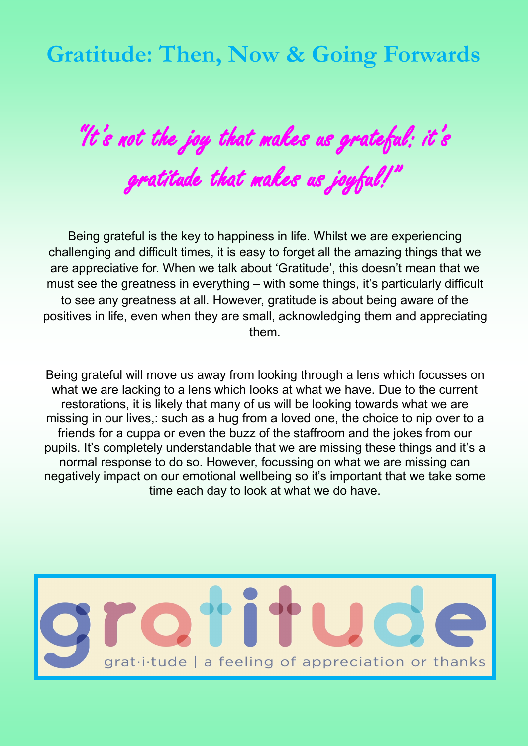#### **Gratitude: Then, Now & Going Forwards**

"It's not the joy that makes us grateful: it's gratitude that makes us joyful!"

Being grateful is the key to happiness in life. Whilst we are experiencing challenging and difficult times, it is easy to forget all the amazing things that we are appreciative for. When we talk about 'Gratitude', this doesn't mean that we must see the greatness in everything – with some things, it's particularly difficult to see any greatness at all. However, gratitude is about being aware of the positives in life, even when they are small, acknowledging them and appreciating them.

Being grateful will move us away from looking through a lens which focusses on what we are lacking to a lens which looks at what we have. Due to the current restorations, it is likely that many of us will be looking towards what we are missing in our lives,: such as a hug from a loved one, the choice to nip over to a friends for a cuppa or even the buzz of the staffroom and the jokes from our pupils. It's completely understandable that we are missing these things and it's a normal response to do so. However, focussing on what we are missing can negatively impact on our emotional wellbeing so it's important that we take some time each day to look at what we do have.

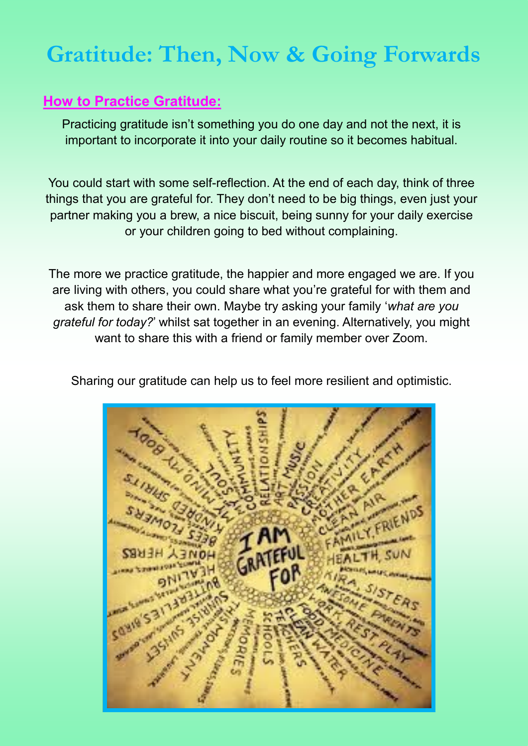#### **Gratitude: Then, Now & Going Forwards**

#### **How to Practice Gratitude:**

Practicing gratitude isn't something you do one day and not the next, it is important to incorporate it into your daily routine so it becomes habitual.

You could start with some self-reflection. At the end of each day, think of three things that you are grateful for. They don't need to be big things, even just your partner making you a brew, a nice biscuit, being sunny for your daily exercise or your children going to bed without complaining.

The more we practice gratitude, the happier and more engaged we are. If you are living with others, you could share what you're grateful for with them and ask them to share their own. Maybe try asking your family '*what are you grateful for today?*' whilst sat together in an evening. Alternatively, you might want to share this with a friend or family member over Zoom.



Sharing our gratitude can help us to feel more resilient and optimistic.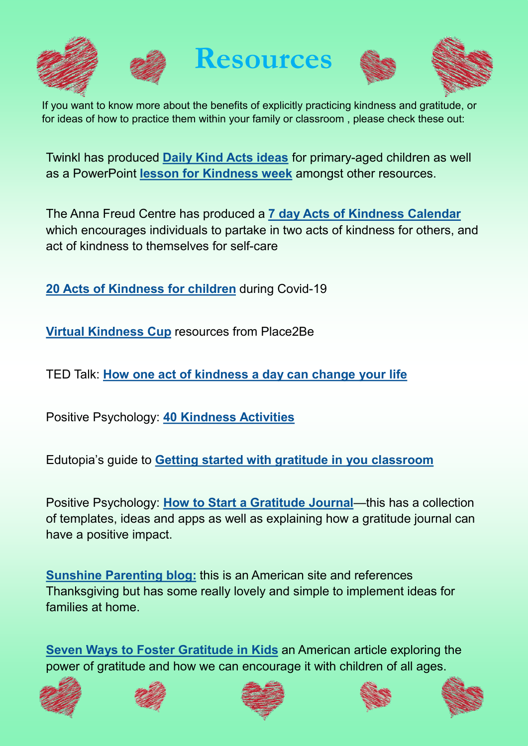



**Resources**





If you want to know more about the benefits of explicitly practicing kindness and gratitude, or for ideas of how to practice them within your family or classroom , please check these out:

Twinkl has produced **[Daily Kind Acts ideas](https://www.twinkl.co.uk/resource/daily-kind-act-ideas-t-lf-2548974)** for primary-aged children as well as a PowerPoint **[lesson for Kindness week](https://www.twinkl.co.uk/resource/t-t-2545863-kindness-week-powerpoint)** amongst other resources.

The Anna Freud Centre has produced a **[7 day Acts of Kindness Calendar](https://mentallyhealthyschools.org.uk/resources/seven-days-of-kindness-calendar/)** which encourages individuals to partake in two acts of kindness for others, and act of kindness to themselves for self-care

**[20 Acts of Kindness for children](https://inspirekindness.com/blog/kindness-ideas-kids-covid19-coronavirus)** during Covid-19

**[Virtual Kindness Cup](https://www.place2be.org.uk/about-us/news-and-blogs/2020/may/award-a-kindness-cup-for-mental-health-awareness-week/)** resources from Place2Be

TED Talk: **[How one act of kindness a day can change your life](https://www.ted.com/talks/mark_kelly_how_one_act_of_kindness_a_day_can_change_your_life)**

Positive Psychology: **[40 Kindness Activities](https://positivepsychology.com/kindness-activities-empathy-worksheets/)**

Edutopia's guide to **[Getting started with gratitude in you classroom](https://www.edutopia.org/blog/gratitude-powerful-tool-for-classroom-owen-griffith)**

Positive Psychology: **[How to Start a Gratitude Journal](https://positivepsychology.com/gratitude-journal/)**—this has a collection of templates, ideas and apps as well as explaining how a gratitude journal can have a positive impact.

**[Sunshine Parenting blog:](https://sunshine-parenting.com/a-grateful-family-is-a-happy-family-5-practices/)** this is an American site and references Thanksgiving but has some really lovely and simple to implement ideas for families at home.

**[Seven Ways to Foster Gratitude in Kids](https://greatergood.berkeley.edu/article/item/seven_ways_to_foster_gratitude_in_kids)** an American article exploring the power of gratitude and how we can encourage it with children of all ages.